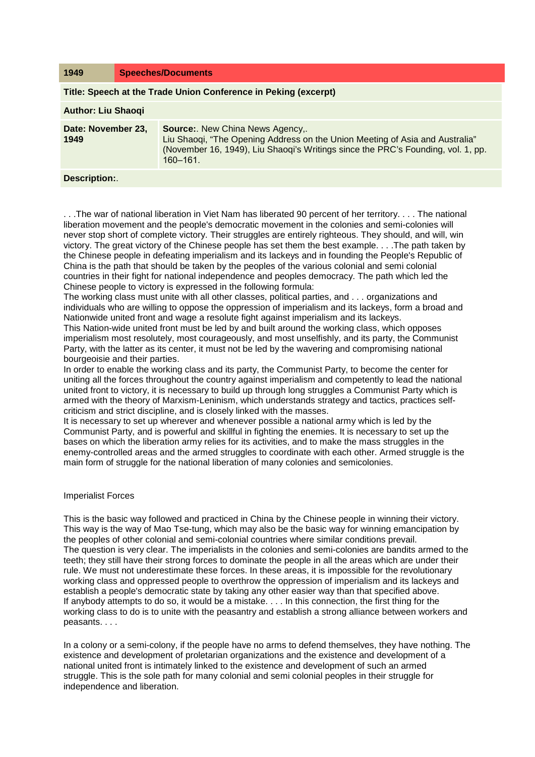| 1949                                                            | <b>Speeches/Documents</b> |                                                                                                                                                                                                                            |
|-----------------------------------------------------------------|---------------------------|----------------------------------------------------------------------------------------------------------------------------------------------------------------------------------------------------------------------------|
| Title: Speech at the Trade Union Conference in Peking (excerpt) |                           |                                                                                                                                                                                                                            |
| <b>Author: Liu Shaoqi</b>                                       |                           |                                                                                                                                                                                                                            |
| Date: November 23,<br>1949                                      |                           | <b>Source:.</b> New China News Agency,.<br>Liu Shaoqi, "The Opening Address on the Union Meeting of Asia and Australia"<br>(November 16, 1949), Liu Shaoqi's Writings since the PRC's Founding, vol. 1, pp.<br>$160 - 161$ |
| Description:.                                                   |                           |                                                                                                                                                                                                                            |

. . .The war of national liberation in Viet Nam has liberated 90 percent of her territory. . . . The national liberation movement and the people's democratic movement in the colonies and semi-colonies will never stop short of complete victory. Their struggles are entirely righteous. They should, and will, win victory. The great victory of the Chinese people has set them the best example. . . .The path taken by the Chinese people in defeating imperialism and its lackeys and in founding the People's Republic of China is the path that should be taken by the peoples of the various colonial and semi colonial countries in their fight for national independence and peoples democracy. The path which led the Chinese people to victory is expressed in the following formula:

The working class must unite with all other classes, political parties, and . . . organizations and individuals who are willing to oppose the oppression of imperialism and its lackeys, form a broad and Nationwide united front and wage a resolute fight against imperialism and its lackeys.

This Nation-wide united front must be led by and built around the working class, which opposes imperialism most resolutely, most courageously, and most unselfishly, and its party, the Communist Party, with the latter as its center, it must not be led by the wavering and compromising national bourgeoisie and their parties.

In order to enable the working class and its party, the Communist Party, to become the center for uniting all the forces throughout the country against imperialism and competently to lead the national united front to victory, it is necessary to build up through long struggles a Communist Party which is armed with the theory of Marxism-Leninism, which understands strategy and tactics, practices selfcriticism and strict discipline, and is closely linked with the masses.

It is necessary to set up wherever and whenever possible a national army which is led by the Communist Party, and is powerful and skillful in fighting the enemies. It is necessary to set up the bases on which the liberation army relies for its activities, and to make the mass struggles in the enemy-controlled areas and the armed struggles to coordinate with each other. Armed struggle is the main form of struggle for the national liberation of many colonies and semicolonies.

## Imperialist Forces

This is the basic way followed and practiced in China by the Chinese people in winning their victory. This way is the way of Mao Tse-tung, which may also be the basic way for winning emancipation by the peoples of other colonial and semi-colonial countries where similar conditions prevail. The question is very clear. The imperialists in the colonies and semi-colonies are bandits armed to the teeth; they still have their strong forces to dominate the people in all the areas which are under their rule. We must not underestimate these forces. In these areas, it is impossible for the revolutionary working class and oppressed people to overthrow the oppression of imperialism and its lackeys and establish a people's democratic state by taking any other easier way than that specified above. If anybody attempts to do so, it would be a mistake. . . . In this connection, the first thing for the working class to do is to unite with the peasantry and establish a strong alliance between workers and peasants. . . .

In a colony or a semi-colony, if the people have no arms to defend themselves, they have nothing. The existence and development of proletarian organizations and the existence and development of a national united front is intimately linked to the existence and development of such an armed struggle. This is the sole path for many colonial and semi colonial peoples in their struggle for independence and liberation.